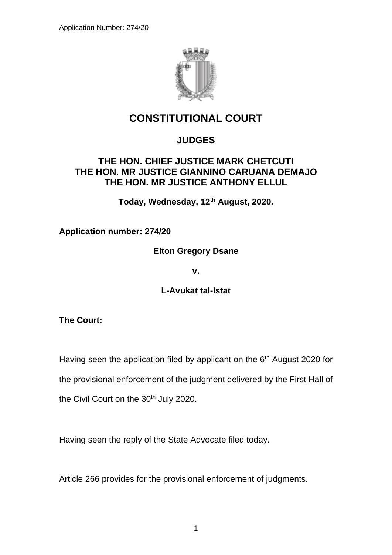

## **CONSTITUTIONAL COURT**

## **JUDGES**

## **THE HON. CHIEF JUSTICE MARK CHETCUTI THE HON. MR JUSTICE GIANNINO CARUANA DEMAJO THE HON. MR JUSTICE ANTHONY ELLUL**

**Today, Wednesday, 12 th August, 2020.**

**Application number: 274/20**

**Elton Gregory Dsane**

**v.**

**L-Avukat tal-Istat**

**The Court:**

Having seen the application filed by applicant on the  $6<sup>th</sup>$  August 2020 for

the provisional enforcement of the judgment delivered by the First Hall of

the Civil Court on the 30<sup>th</sup> July 2020.

Having seen the reply of the State Advocate filed today.

Article 266 provides for the provisional enforcement of judgments.